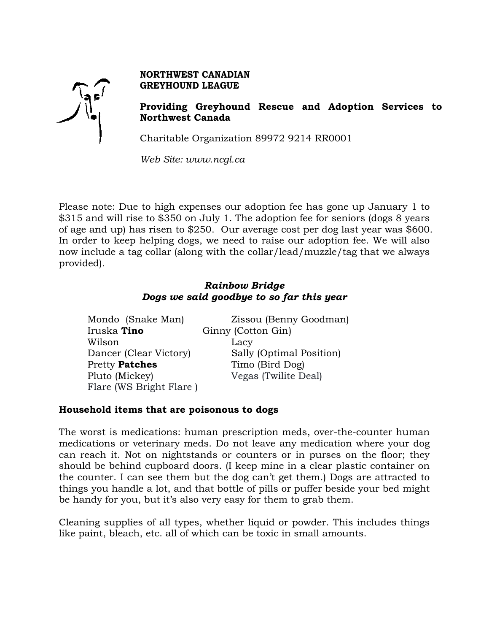

## **NORTHWEST CANADIAN GREYHOUND LEAGUE**

**Providing Greyhound Rescue and Adoption Services to Northwest Canada**

Charitable Organization 89972 9214 RR0001

*Web Site: www.ncgl.ca*

Please note: Due to high expenses our adoption fee has gone up January 1 to \$315 and will rise to \$350 on July 1. The adoption fee for seniors (dogs 8 years of age and up) has risen to \$250. Our average cost per dog last year was \$600. In order to keep helping dogs, we need to raise our adoption fee. We will also now include a tag collar (along with the collar/lead/muzzle/tag that we always provided).

# *Rainbow Bridge Dogs we said goodbye to so far this year*

Mondo (Snake Man) Zissou (Benny Goodman) Iruska **Tino** Ginny (Cotton Gin) Wilson Lacy Dancer (Clear Victory) Sally (Optimal Position) Pretty **Patches** Timo (Bird Dog) Pluto (Mickey) Vegas (Twilite Deal) Flare (WS Bright Flare )

#### **Household items that are poisonous to dogs**

The worst is medications: human prescription meds, over-the-counter human medications or veterinary meds. Do not leave any medication where your dog can reach it. Not on nightstands or counters or in purses on the floor; they should be behind cupboard doors. (I keep mine in a clear plastic container on the counter. I can see them but the dog can't get them.) Dogs are attracted to things you handle a lot, and that bottle of pills or puffer beside your bed might be handy for you, but it's also very easy for them to grab them.

Cleaning supplies of all types, whether liquid or powder. This includes things like paint, bleach, etc. all of which can be toxic in small amounts.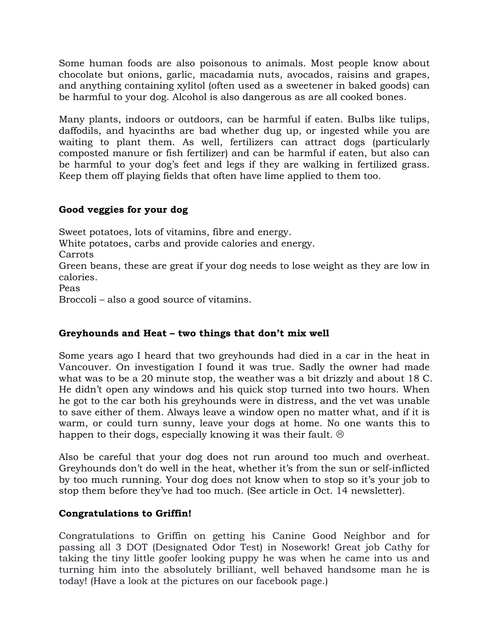Some human foods are also poisonous to animals. Most people know about chocolate but onions, garlic, macadamia nuts, avocados, raisins and grapes, and anything containing xylitol (often used as a sweetener in baked goods) can be harmful to your dog. Alcohol is also dangerous as are all cooked bones.

Many plants, indoors or outdoors, can be harmful if eaten. Bulbs like tulips, daffodils, and hyacinths are bad whether dug up, or ingested while you are waiting to plant them. As well, fertilizers can attract dogs (particularly composted manure or fish fertilizer) and can be harmful if eaten, but also can be harmful to your dog's feet and legs if they are walking in fertilized grass. Keep them off playing fields that often have lime applied to them too.

## **Good veggies for your dog**

Sweet potatoes, lots of vitamins, fibre and energy. White potatoes, carbs and provide calories and energy. Carrots Green beans, these are great if your dog needs to lose weight as they are low in calories. Peas Broccoli – also a good source of vitamins.

## **Greyhounds and Heat – two things that don't mix well**

Some years ago I heard that two greyhounds had died in a car in the heat in Vancouver. On investigation I found it was true. Sadly the owner had made what was to be a 20 minute stop, the weather was a bit drizzly and about 18 C. He didn't open any windows and his quick stop turned into two hours. When he got to the car both his greyhounds were in distress, and the vet was unable to save either of them. Always leave a window open no matter what, and if it is warm, or could turn sunny, leave your dogs at home. No one wants this to happen to their dogs, especially knowing it was their fault.  $\odot$ 

Also be careful that your dog does not run around too much and overheat. Greyhounds don't do well in the heat, whether it's from the sun or self-inflicted by too much running. Your dog does not know when to stop so it's your job to stop them before they've had too much. (See article in Oct. 14 newsletter).

## **Congratulations to Griffin!**

Congratulations to Griffin on getting his Canine Good Neighbor and for passing all 3 DOT (Designated Odor Test) in Nosework! Great job Cathy for taking the tiny little goofer looking puppy he was when he came into us and turning him into the absolutely brilliant, well behaved handsome man he is today! (Have a look at the pictures on our facebook page.)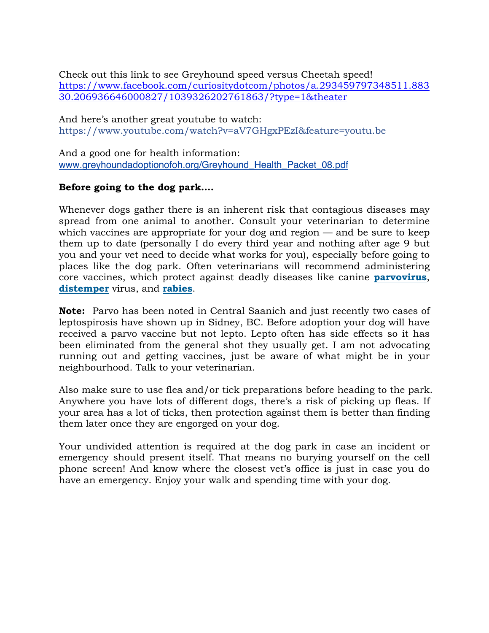Check out this link to see Greyhound speed versus Cheetah speed! https://www.facebook.com/curiositydotcom/photos/a.293459797348511.883 30.206936646000827/1039326202761863/?type=1&theater

And here's another great youtube to watch: https://www.youtube.com/watch?v=aV7GHgxPEzI&feature=youtu.be

And a good one for health information: www.greyhoundadoptionofoh.org/Greyhound\_Health\_Packet\_08.pdf

## **Before going to the dog park….**

Whenever dogs gather there is an inherent risk that contagious diseases may spread from one animal to another. Consult your veterinarian to determine which vaccines are appropriate for your dog and region — and be sure to keep them up to date (personally I do every third year and nothing after age 9 but you and your vet need to decide what works for you), especially before going to places like the dog park. Often veterinarians will recommend administering core vaccines, which protect against deadly diseases like canine **parvovirus**, **distemper** virus, and **rabies**.

**Note:** Parvo has been noted in Central Saanich and just recently two cases of leptospirosis have shown up in Sidney, BC. Before adoption your dog will have received a parvo vaccine but not lepto. Lepto often has side effects so it has been eliminated from the general shot they usually get. I am not advocating running out and getting vaccines, just be aware of what might be in your neighbourhood. Talk to your veterinarian.

Also make sure to use flea and/or tick preparations before heading to the park. Anywhere you have lots of different dogs, there's a risk of picking up fleas. If your area has a lot of ticks, then protection against them is better than finding them later once they are engorged on your dog.

Your undivided attention is required at the dog park in case an incident or emergency should present itself. That means no burying yourself on the cell phone screen! And know where the closest vet's office is just in case you do have an emergency. Enjoy your walk and spending time with your dog.